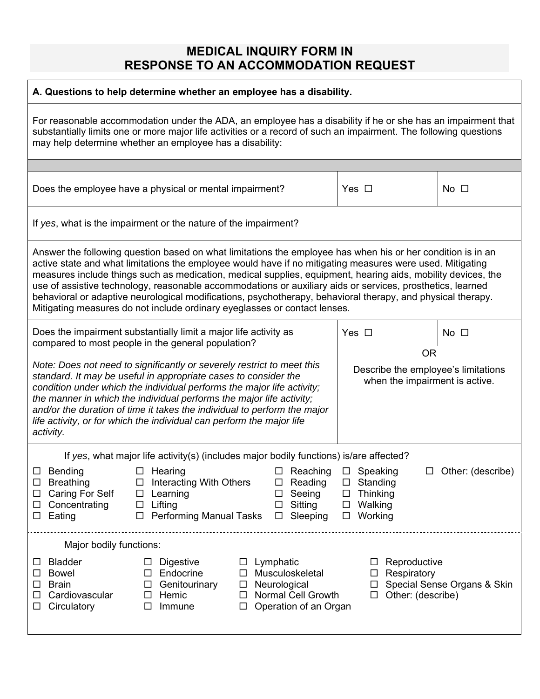## **MEDICAL INQUIRY FORM IN RESPONSE TO AN ACCOMMODATION REQUEST**

| A. Questions to help determine whether an employee has a disability.                                                                                                                                                                                                                                                                                                                                                                                                                                                                                                                                                                               |                                                                                |                             |
|----------------------------------------------------------------------------------------------------------------------------------------------------------------------------------------------------------------------------------------------------------------------------------------------------------------------------------------------------------------------------------------------------------------------------------------------------------------------------------------------------------------------------------------------------------------------------------------------------------------------------------------------------|--------------------------------------------------------------------------------|-----------------------------|
| For reasonable accommodation under the ADA, an employee has a disability if he or she has an impairment that<br>substantially limits one or more major life activities or a record of such an impairment. The following questions<br>may help determine whether an employee has a disability:                                                                                                                                                                                                                                                                                                                                                      |                                                                                |                             |
|                                                                                                                                                                                                                                                                                                                                                                                                                                                                                                                                                                                                                                                    |                                                                                |                             |
| Does the employee have a physical or mental impairment?                                                                                                                                                                                                                                                                                                                                                                                                                                                                                                                                                                                            | Yes $\Box$                                                                     | No $\square$                |
| If yes, what is the impairment or the nature of the impairment?                                                                                                                                                                                                                                                                                                                                                                                                                                                                                                                                                                                    |                                                                                |                             |
| Answer the following question based on what limitations the employee has when his or her condition is in an<br>active state and what limitations the employee would have if no mitigating measures were used. Mitigating<br>measures include things such as medication, medical supplies, equipment, hearing aids, mobility devices, the<br>use of assistive technology, reasonable accommodations or auxiliary aids or services, prosthetics, learned<br>behavioral or adaptive neurological modifications, psychotherapy, behavioral therapy, and physical therapy.<br>Mitigating measures do not include ordinary eyeglasses or contact lenses. |                                                                                |                             |
| Does the impairment substantially limit a major life activity as<br>compared to most people in the general population?                                                                                                                                                                                                                                                                                                                                                                                                                                                                                                                             | Yes $\Box$                                                                     | $No$ $\square$              |
|                                                                                                                                                                                                                                                                                                                                                                                                                                                                                                                                                                                                                                                    | <b>OR</b>                                                                      |                             |
| Note: Does not need to significantly or severely restrict to meet this<br>standard. It may be useful in appropriate cases to consider the<br>condition under which the individual performs the major life activity;<br>the manner in which the individual performs the major life activity;<br>and/or the duration of time it takes the individual to perform the major<br>life activity, or for which the individual can perform the major life<br>activity.                                                                                                                                                                                      | Describe the employee's limitations<br>when the impairment is active.          |                             |
| If yes, what major life activity(s) (includes major bodily functions) is/are affected?                                                                                                                                                                                                                                                                                                                                                                                                                                                                                                                                                             |                                                                                |                             |
| $\Box$ Bending<br>$\Box$ Reaching $\Box$ Speaking<br>$\Box$ Hearing<br>□ Interacting With Others<br>$\Box$ Reading $\Box$ Standing<br>$\square$ Breathing<br><b>Caring For Self</b><br>$\square$ Seeing<br>Learning<br>$\Box$<br>$\Box$<br>Sitting<br>Concentrating<br>Lifting<br>$\Box$<br>$\Box$<br>ப<br>Performing Manual Tasks<br>Eating<br>Sleeping<br>$\Box$<br>$\Box$<br>ப                                                                                                                                                                                                                                                                  | Thinking<br>$\Box$<br>Walking<br>$\Box$<br>Working<br>$\Box$                   | $\Box$ Other: (describe)    |
| Major bodily functions:                                                                                                                                                                                                                                                                                                                                                                                                                                                                                                                                                                                                                            |                                                                                |                             |
| <b>Bladder</b><br><b>Digestive</b><br>$\Box$ Lymphatic<br>⊔.<br>ப<br>Endocrine<br>Musculoskeletal<br><b>Bowel</b><br>$\Box$<br>$\Box$<br>ப<br>Neurological<br><b>Brain</b><br>Genitourinary<br>$\Box$<br>$\Box$<br>ப<br><b>Normal Cell Growth</b><br>Cardiovascular<br>Hemic<br>□<br>□<br>Circulatory<br>Operation of an Organ<br>Immune<br>$\Box$<br>□                                                                                                                                                                                                                                                                                            | Reproductive<br>□<br>Respiratory<br>$\Box$<br>$\Box$<br>Other: (describe)<br>□ | Special Sense Organs & Skin |